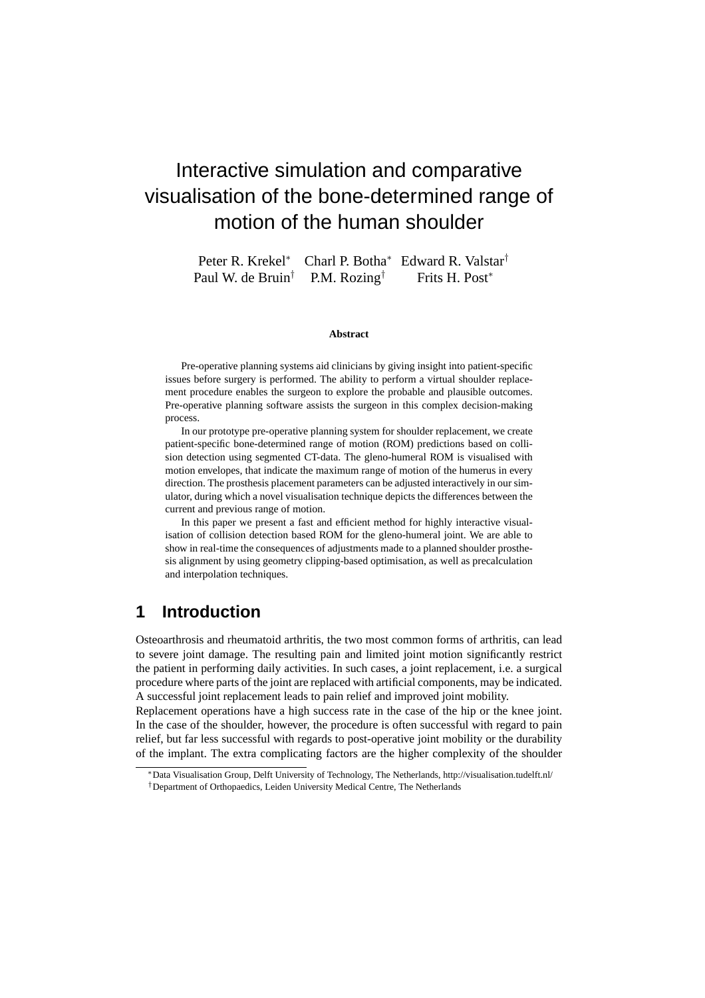# Interactive simulation and comparative visualisation of the bone-determined range of motion of the human shoulder

Peter R. Krekel<sup>∗</sup> Charl P. Botha<sup>∗</sup> Edward R. Valstar† Paul W. de Bruin<sup>†</sup> P.M. Rozing<sup>†</sup> Frits H. Post<sup>\*</sup>

#### **Abstract**

Pre-operative planning systems aid clinicians by giving insight into patient-specific issues before surgery is performed. The ability to perform a virtual shoulder replacement procedure enables the surgeon to explore the probable and plausible outcomes. Pre-operative planning software assists the surgeon in this complex decision-making process.

In our prototype pre-operative planning system for shoulder replacement, we create patient-specific bone-determined range of motion (ROM) predictions based on collision detection using segmented CT-data. The gleno-humeral ROM is visualised with motion envelopes, that indicate the maximum range of motion of the humerus in every direction. The prosthesis placement parameters can be adjusted interactively in our simulator, during which a novel visualisation technique depicts the differences between the current and previous range of motion.

In this paper we present a fast and efficient method for highly interactive visualisation of collision detection based ROM for the gleno-humeral joint. We are able to show in real-time the consequences of adjustments made to a planned shoulder prosthesis alignment by using geometry clipping-based optimisation, as well as precalculation and interpolation techniques.

#### **1 Introduction**

Osteoarthrosis and rheumatoid arthritis, the two most common forms of arthritis, can lead to severe joint damage. The resulting pain and limited joint motion significantly restrict the patient in performing daily activities. In such cases, a joint replacement, i.e. a surgical procedure where parts of the joint are replaced with artificial components, may be indicated. A successful joint replacement leads to pain relief and improved joint mobility.

Replacement operations have a high success rate in the case of the hip or the knee joint. In the case of the shoulder, however, the procedure is often successful with regard to pain relief, but far less successful with regards to post-operative joint mobility or the durability of the implant. The extra complicating factors are the higher complexity of the shoulder

<sup>∗</sup>Data Visualisation Group, Delft University of Technology, The Netherlands, http://visualisation.tudelft.nl/ †Department of Orthopaedics, Leiden University Medical Centre, The Netherlands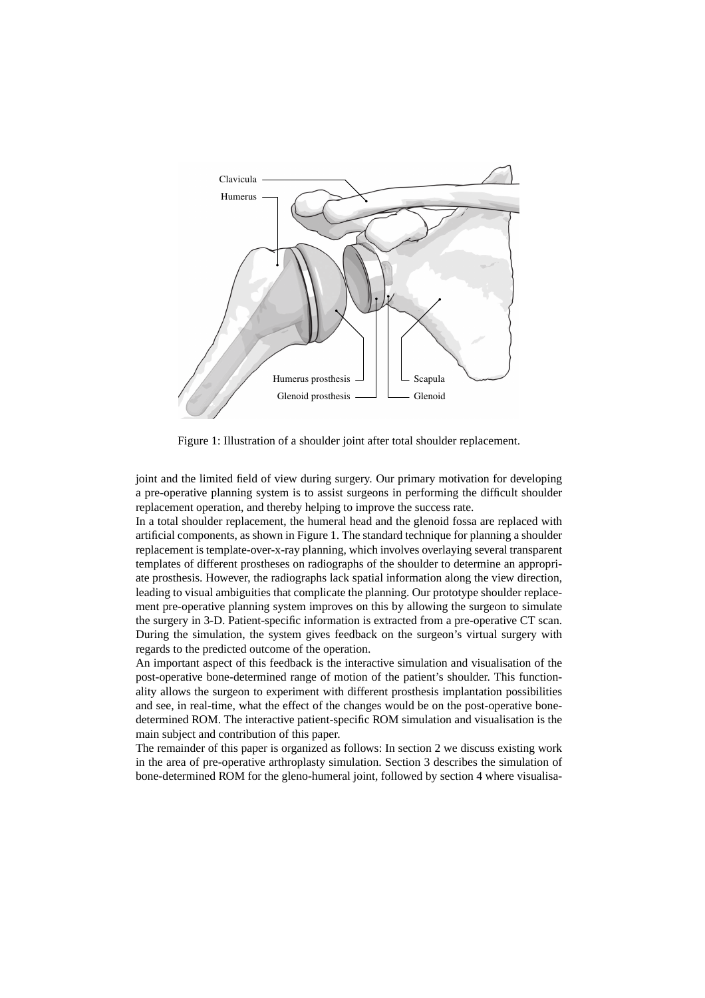

Figure 1: Illustration of a shoulder joint after total shoulder replacement.

joint and the limited field of view during surgery. Our primary motivation for developing a pre-operative planning system is to assist surgeons in performing the difficult shoulder replacement operation, and thereby helping to improve the success rate.

In a total shoulder replacement, the humeral head and the glenoid fossa are replaced with artificial components, as shown in Figure 1. The standard technique for planning a shoulder replacement is template-over-x-ray planning, which involves overlaying several transparent templates of different prostheses on radiographs of the shoulder to determine an appropriate prosthesis. However, the radiographs lack spatial information along the view direction, leading to visual ambiguities that complicate the planning. Our prototype shoulder replacement pre-operative planning system improves on this by allowing the surgeon to simulate the surgery in 3-D. Patient-specific information is extracted from a pre-operative CT scan. During the simulation, the system gives feedback on the surgeon's virtual surgery with regards to the predicted outcome of the operation.

An important aspect of this feedback is the interactive simulation and visualisation of the post-operative bone-determined range of motion of the patient's shoulder. This functionality allows the surgeon to experiment with different prosthesis implantation possibilities and see, in real-time, what the effect of the changes would be on the post-operative bonedetermined ROM. The interactive patient-specific ROM simulation and visualisation is the main subject and contribution of this paper.

The remainder of this paper is organized as follows: In section 2 we discuss existing work in the area of pre-operative arthroplasty simulation. Section 3 describes the simulation of bone-determined ROM for the gleno-humeral joint, followed by section 4 where visualisa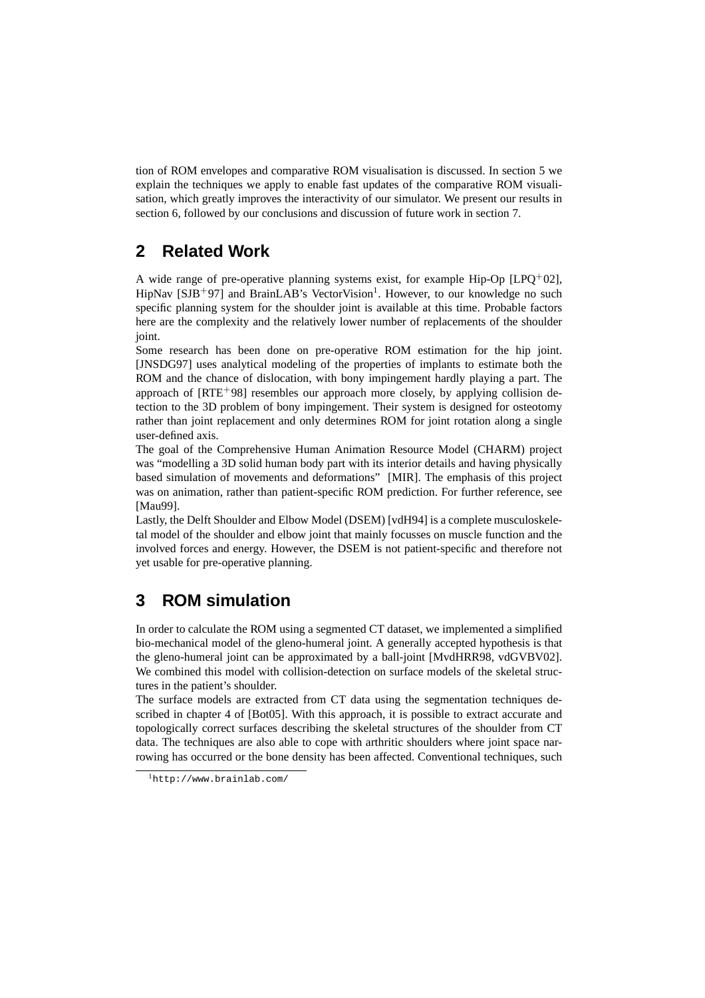tion of ROM envelopes and comparative ROM visualisation is discussed. In section 5 we explain the techniques we apply to enable fast updates of the comparative ROM visualisation, which greatly improves the interactivity of our simulator. We present our results in section 6, followed by our conclusions and discussion of future work in section 7.

## **2 Related Work**

A wide range of pre-operative planning systems exist, for example Hip-Op  $[LPO^+02]$ , HipNav [SJB+97] and BrainLAB's VectorVision<sup>1</sup>. However, to our knowledge no such specific planning system for the shoulder joint is available at this time. Probable factors here are the complexity and the relatively lower number of replacements of the shoulder joint.

Some research has been done on pre-operative ROM estimation for the hip joint. [JNSDG97] uses analytical modeling of the properties of implants to estimate both the ROM and the chance of dislocation, with bony impingement hardly playing a part. The approach of  $[RTE+98]$  resembles our approach more closely, by applying collision detection to the 3D problem of bony impingement. Their system is designed for osteotomy rather than joint replacement and only determines ROM for joint rotation along a single user-defined axis.

The goal of the Comprehensive Human Animation Resource Model (CHARM) project was "modelling a 3D solid human body part with its interior details and having physically based simulation of movements and deformations" [MIR]. The emphasis of this project was on animation, rather than patient-specific ROM prediction. For further reference, see [Mau99].

Lastly, the Delft Shoulder and Elbow Model (DSEM) [vdH94] is a complete musculoskeletal model of the shoulder and elbow joint that mainly focusses on muscle function and the involved forces and energy. However, the DSEM is not patient-specific and therefore not yet usable for pre-operative planning.

# **3 ROM simulation**

In order to calculate the ROM using a segmented CT dataset, we implemented a simplified bio-mechanical model of the gleno-humeral joint. A generally accepted hypothesis is that the gleno-humeral joint can be approximated by a ball-joint [MvdHRR98, vdGVBV02]. We combined this model with collision-detection on surface models of the skeletal structures in the patient's shoulder.

The surface models are extracted from CT data using the segmentation techniques described in chapter 4 of [Bot05]. With this approach, it is possible to extract accurate and topologically correct surfaces describing the skeletal structures of the shoulder from CT data. The techniques are also able to cope with arthritic shoulders where joint space narrowing has occurred or the bone density has been affected. Conventional techniques, such

<sup>1</sup>http://www.brainlab.com/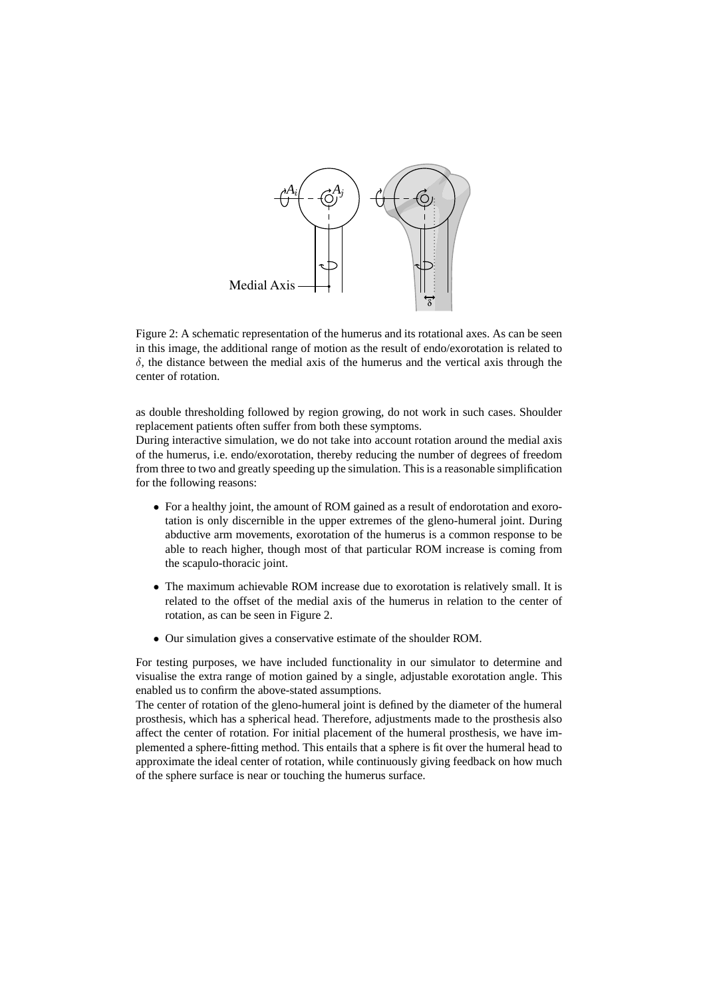

Figure 2: A schematic representation of the humerus and its rotational axes. As can be seen in this image, the additional range of motion as the result of endo/exorotation is related to δ, the distance between the medial axis of the humerus and the vertical axis through the center of rotation.

as double thresholding followed by region growing, do not work in such cases. Shoulder replacement patients often suffer from both these symptoms.

During interactive simulation, we do not take into account rotation around the medial axis of the humerus, i.e. endo/exorotation, thereby reducing the number of degrees of freedom from three to two and greatly speeding up the simulation. This is a reasonable simplification for the following reasons:

- For a healthy joint, the amount of ROM gained as a result of endorotation and exorotation is only discernible in the upper extremes of the gleno-humeral joint. During abductive arm movements, exorotation of the humerus is a common response to be able to reach higher, though most of that particular ROM increase is coming from the scapulo-thoracic joint.
- The maximum achievable ROM increase due to exorotation is relatively small. It is related to the offset of the medial axis of the humerus in relation to the center of rotation, as can be seen in Figure 2.
- Our simulation gives a conservative estimate of the shoulder ROM.

For testing purposes, we have included functionality in our simulator to determine and visualise the extra range of motion gained by a single, adjustable exorotation angle. This enabled us to confirm the above-stated assumptions.

The center of rotation of the gleno-humeral joint is defined by the diameter of the humeral prosthesis, which has a spherical head. Therefore, adjustments made to the prosthesis also affect the center of rotation. For initial placement of the humeral prosthesis, we have implemented a sphere-fitting method. This entails that a sphere is fit over the humeral head to approximate the ideal center of rotation, while continuously giving feedback on how much of the sphere surface is near or touching the humerus surface.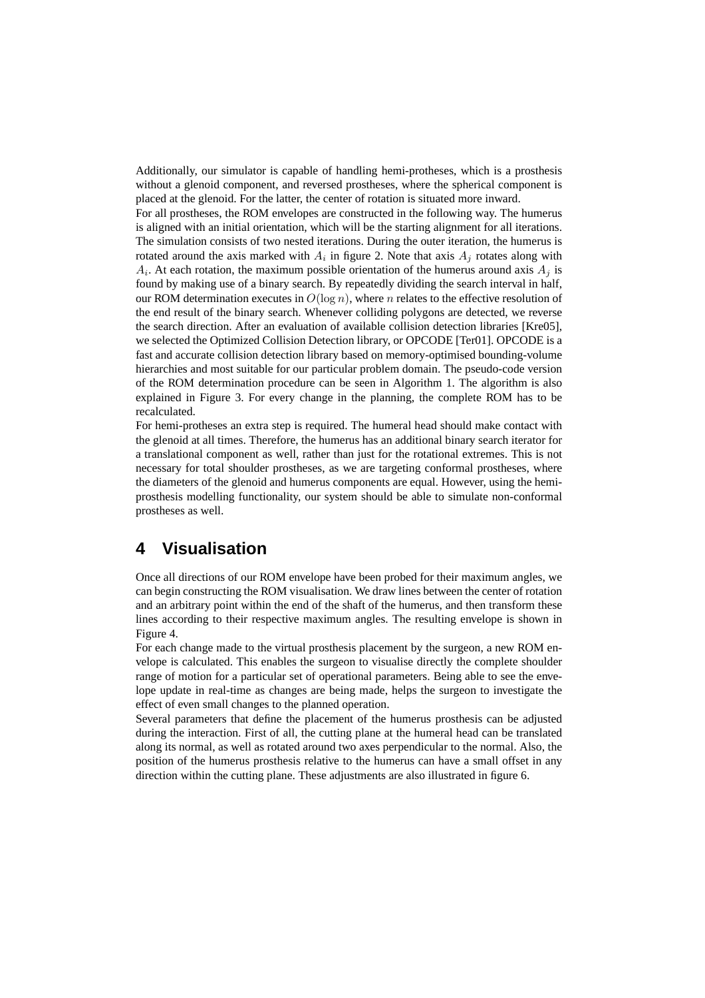Additionally, our simulator is capable of handling hemi-protheses, which is a prosthesis without a glenoid component, and reversed prostheses, where the spherical component is placed at the glenoid. For the latter, the center of rotation is situated more inward.

For all prostheses, the ROM envelopes are constructed in the following way. The humerus is aligned with an initial orientation, which will be the starting alignment for all iterations. The simulation consists of two nested iterations. During the outer iteration, the humerus is rotated around the axis marked with  $A_i$  in figure 2. Note that axis  $A_j$  rotates along with  $A_i$ . At each rotation, the maximum possible orientation of the humerus around axis  $A_j$  is found by making use of a binary search. By repeatedly dividing the search interval in half, our ROM determination executes in  $O(\log n)$ , where *n* relates to the effective resolution of the end result of the binary search. Whenever colliding polygons are detected, we reverse the search direction. After an evaluation of available collision detection libraries [Kre05], we selected the Optimized Collision Detection library, or OPCODE [Ter01]. OPCODE is a fast and accurate collision detection library based on memory-optimised bounding-volume hierarchies and most suitable for our particular problem domain. The pseudo-code version of the ROM determination procedure can be seen in Algorithm 1. The algorithm is also explained in Figure 3. For every change in the planning, the complete ROM has to be recalculated.

For hemi-protheses an extra step is required. The humeral head should make contact with the glenoid at all times. Therefore, the humerus has an additional binary search iterator for a translational component as well, rather than just for the rotational extremes. This is not necessary for total shoulder prostheses, as we are targeting conformal prostheses, where the diameters of the glenoid and humerus components are equal. However, using the hemiprosthesis modelling functionality, our system should be able to simulate non-conformal prostheses as well.

#### **4 Visualisation**

Once all directions of our ROM envelope have been probed for their maximum angles, we can begin constructing the ROM visualisation. We draw lines between the center of rotation and an arbitrary point within the end of the shaft of the humerus, and then transform these lines according to their respective maximum angles. The resulting envelope is shown in Figure 4.

For each change made to the virtual prosthesis placement by the surgeon, a new ROM envelope is calculated. This enables the surgeon to visualise directly the complete shoulder range of motion for a particular set of operational parameters. Being able to see the envelope update in real-time as changes are being made, helps the surgeon to investigate the effect of even small changes to the planned operation.

Several parameters that define the placement of the humerus prosthesis can be adjusted during the interaction. First of all, the cutting plane at the humeral head can be translated along its normal, as well as rotated around two axes perpendicular to the normal. Also, the position of the humerus prosthesis relative to the humerus can have a small offset in any direction within the cutting plane. These adjustments are also illustrated in figure 6.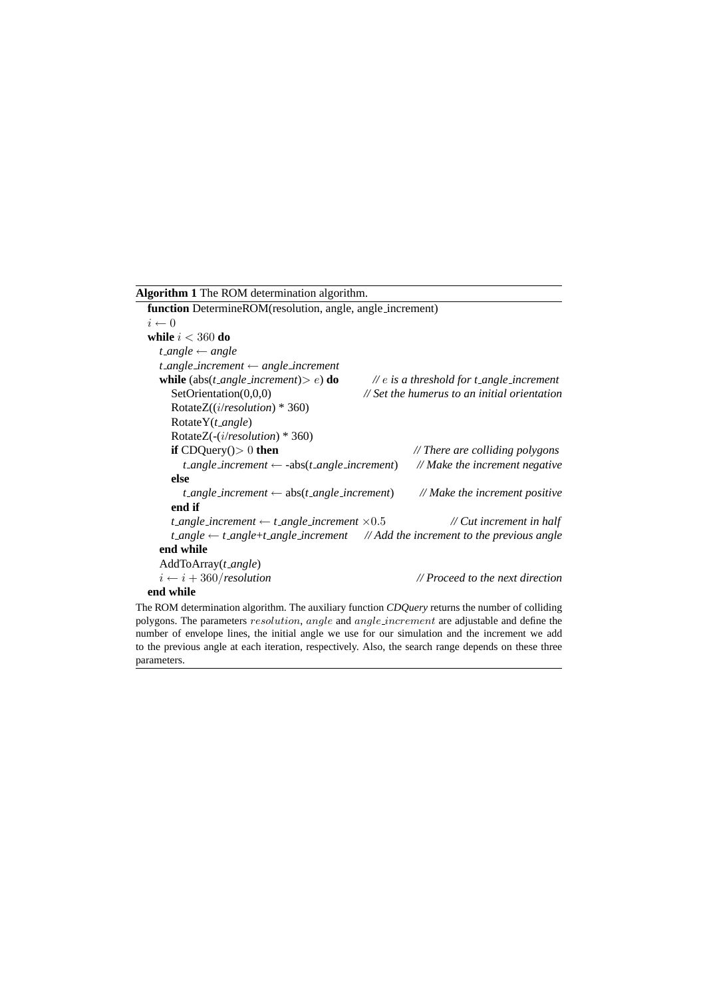| Algorithm 1 The ROM determination algorithm.                                                                       |                                                                                           |  |
|--------------------------------------------------------------------------------------------------------------------|-------------------------------------------------------------------------------------------|--|
| function DetermineROM(resolution, angle, angle_increment)                                                          |                                                                                           |  |
| $i \leftarrow 0$                                                                                                   |                                                                                           |  |
| while $i < 360$ do                                                                                                 |                                                                                           |  |
| $t$ _angle $\leftarrow$ angle                                                                                      |                                                                                           |  |
| $t$ _angle_increment $\leftarrow$ angle_increment                                                                  |                                                                                           |  |
| <b>while</b> (abs( <i>t_angle_increment</i> ) $> e$ ) <b>do</b><br>$\sqrt{e}$ is a threshold for t_angle_increment |                                                                                           |  |
| SetOrientation(0,0,0)                                                                                              | $\mathcal{N}$ Set the humerus to an initial orientation                                   |  |
| RotateZ( $(i/resolution)$ * 360)                                                                                   |                                                                                           |  |
| $RotateY(t\_{angle})$                                                                                              |                                                                                           |  |
| RotateZ( $-(i/resolution) * 360$ )                                                                                 |                                                                                           |  |
| <b>if</b> CDQuery( $)$ > 0 <b>then</b>                                                                             | $\mathcal{N}$ There are colliding polygons                                                |  |
| $t$ _angle_increment $\leftarrow$ -abs( $t$ _angle_increment)                                                      | // Make the increment negative                                                            |  |
| else                                                                                                               |                                                                                           |  |
| t_angle_increment $\leftarrow$ abs(t_angle_increment)                                                              | // Make the increment positive                                                            |  |
| end if                                                                                                             |                                                                                           |  |
| t_angle_increment $\leftarrow$ t_angle_increment $\times 0.5$                                                      | $\mathcal N$ Cut increment in half                                                        |  |
|                                                                                                                    | t_angle $\leftarrow$ t_angle+t_angle_increment // Add the increment to the previous angle |  |
| end while                                                                                                          |                                                                                           |  |
| AddToArray(t_angle)                                                                                                |                                                                                           |  |
| $i \leftarrow i + 360$ /resolution                                                                                 | $\mathcal{U}$ Proceed to the next direction                                               |  |
| end while                                                                                                          |                                                                                           |  |
| The ROM determination algorithm. The auxiliary function CDQuery returns the number of colliding                    |                                                                                           |  |

polygons. The parameters resolution, angle and angle increment are adjustable and define the number of envelope lines, the initial angle we use for our simulation and the increment we add to the previous angle at each iteration, respectively. Also, the search range depends on these three parameters.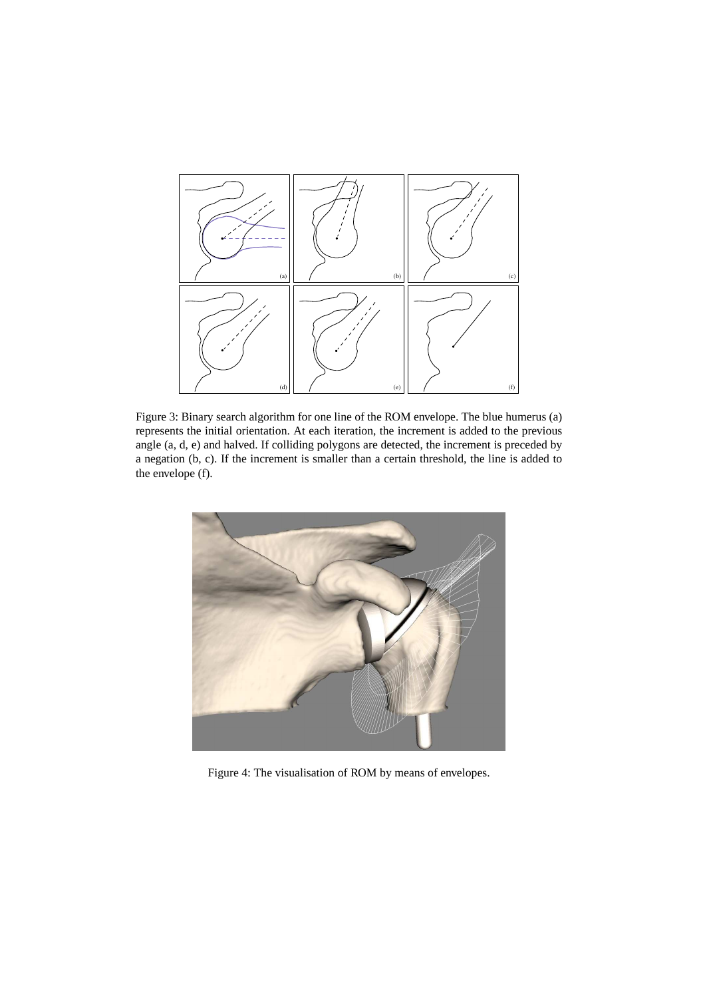

Figure 3: Binary search algorithm for one line of the ROM envelope. The blue humerus (a) represents the initial orientation. At each iteration, the increment is added to the previous angle (a, d, e) and halved. If colliding polygons are detected, the increment is preceded by a negation (b, c). If the increment is smaller than a certain threshold, the line is added to the envelope (f).



Figure 4: The visualisation of ROM by means of envelopes.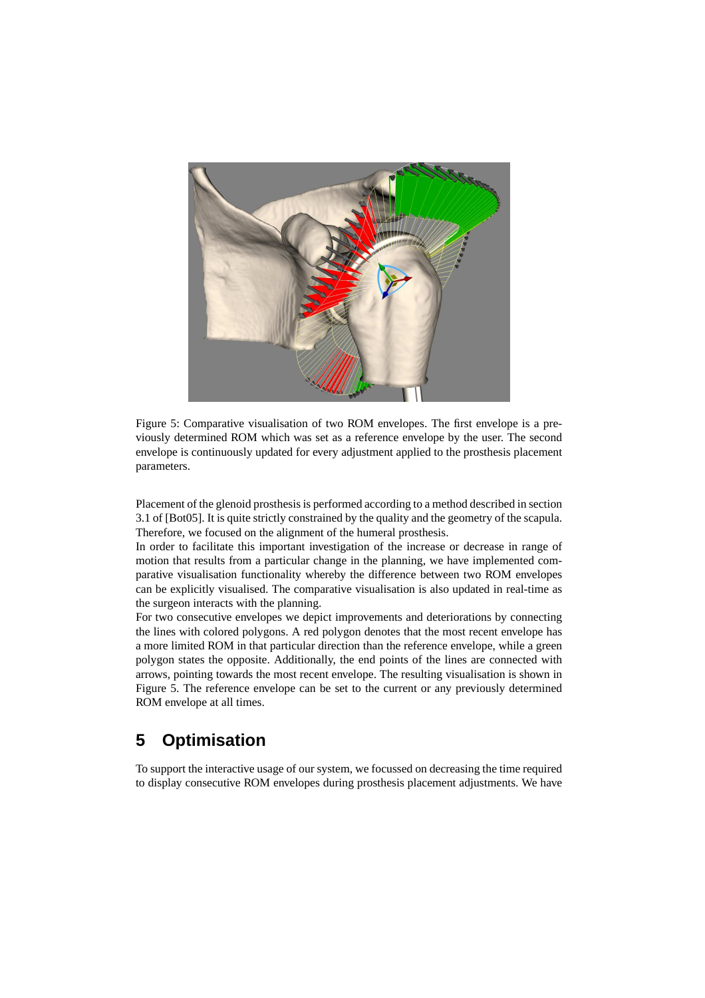

Figure 5: Comparative visualisation of two ROM envelopes. The first envelope is a previously determined ROM which was set as a reference envelope by the user. The second envelope is continuously updated for every adjustment applied to the prosthesis placement parameters.

Placement of the glenoid prosthesis is performed according to a method described in section 3.1 of [Bot05]. It is quite strictly constrained by the quality and the geometry of the scapula. Therefore, we focused on the alignment of the humeral prosthesis.

In order to facilitate this important investigation of the increase or decrease in range of motion that results from a particular change in the planning, we have implemented comparative visualisation functionality whereby the difference between two ROM envelopes can be explicitly visualised. The comparative visualisation is also updated in real-time as the surgeon interacts with the planning.

For two consecutive envelopes we depict improvements and deteriorations by connecting the lines with colored polygons. A red polygon denotes that the most recent envelope has a more limited ROM in that particular direction than the reference envelope, while a green polygon states the opposite. Additionally, the end points of the lines are connected with arrows, pointing towards the most recent envelope. The resulting visualisation is shown in Figure 5. The reference envelope can be set to the current or any previously determined ROM envelope at all times.

#### **5 Optimisation**

To support the interactive usage of our system, we focussed on decreasing the time required to display consecutive ROM envelopes during prosthesis placement adjustments. We have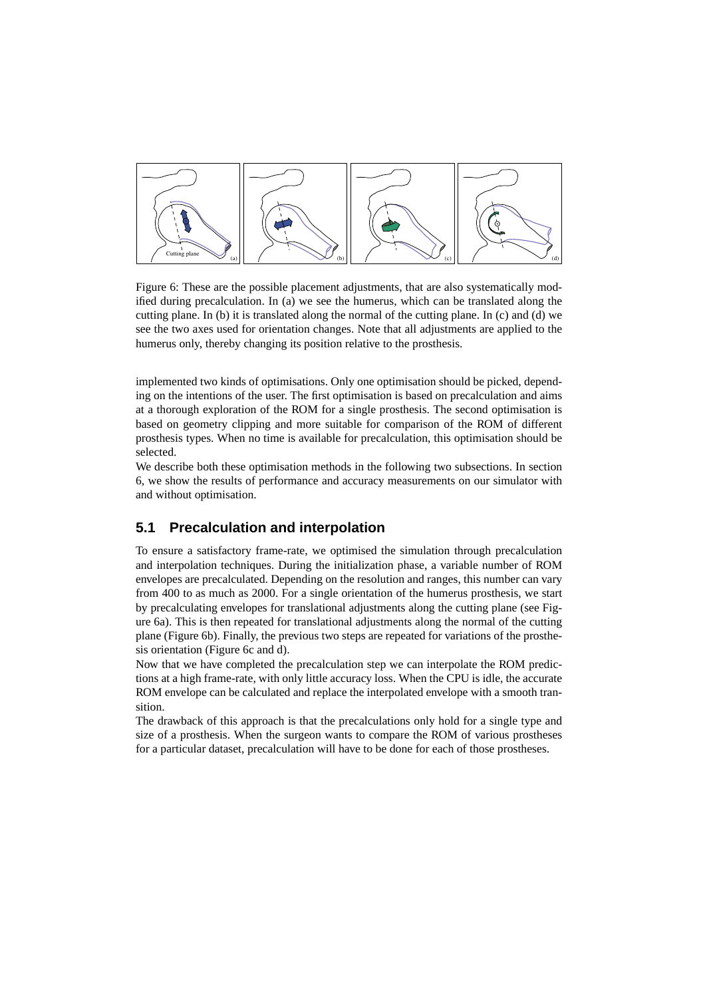

Figure 6: These are the possible placement adjustments, that are also systematically modified during precalculation. In (a) we see the humerus, which can be translated along the cutting plane. In (b) it is translated along the normal of the cutting plane. In (c) and (d) we see the two axes used for orientation changes. Note that all adjustments are applied to the humerus only, thereby changing its position relative to the prosthesis.

implemented two kinds of optimisations. Only one optimisation should be picked, depending on the intentions of the user. The first optimisation is based on precalculation and aims at a thorough exploration of the ROM for a single prosthesis. The second optimisation is based on geometry clipping and more suitable for comparison of the ROM of different prosthesis types. When no time is available for precalculation, this optimisation should be selected.

We describe both these optimisation methods in the following two subsections. In section 6, we show the results of performance and accuracy measurements on our simulator with and without optimisation.

#### **5.1 Precalculation and interpolation**

To ensure a satisfactory frame-rate, we optimised the simulation through precalculation and interpolation techniques. During the initialization phase, a variable number of ROM envelopes are precalculated. Depending on the resolution and ranges, this number can vary from 400 to as much as 2000. For a single orientation of the humerus prosthesis, we start by precalculating envelopes for translational adjustments along the cutting plane (see Figure 6a). This is then repeated for translational adjustments along the normal of the cutting plane (Figure 6b). Finally, the previous two steps are repeated for variations of the prosthesis orientation (Figure 6c and d).

Now that we have completed the precalculation step we can interpolate the ROM predictions at a high frame-rate, with only little accuracy loss. When the CPU is idle, the accurate ROM envelope can be calculated and replace the interpolated envelope with a smooth transition.

The drawback of this approach is that the precalculations only hold for a single type and size of a prosthesis. When the surgeon wants to compare the ROM of various prostheses for a particular dataset, precalculation will have to be done for each of those prostheses.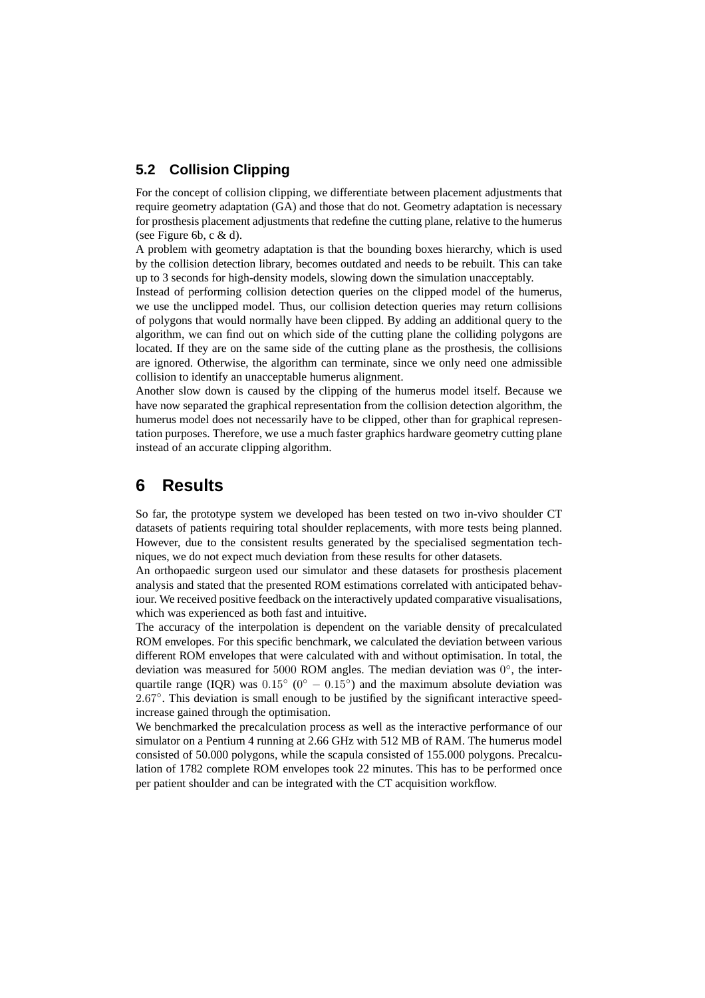#### **5.2 Collision Clipping**

For the concept of collision clipping, we differentiate between placement adjustments that require geometry adaptation (GA) and those that do not. Geometry adaptation is necessary for prosthesis placement adjustments that redefine the cutting plane, relative to the humerus (see Figure 6b, c  $&$  d).

A problem with geometry adaptation is that the bounding boxes hierarchy, which is used by the collision detection library, becomes outdated and needs to be rebuilt. This can take up to 3 seconds for high-density models, slowing down the simulation unacceptably.

Instead of performing collision detection queries on the clipped model of the humerus, we use the unclipped model. Thus, our collision detection queries may return collisions of polygons that would normally have been clipped. By adding an additional query to the algorithm, we can find out on which side of the cutting plane the colliding polygons are located. If they are on the same side of the cutting plane as the prosthesis, the collisions are ignored. Otherwise, the algorithm can terminate, since we only need one admissible collision to identify an unacceptable humerus alignment.

Another slow down is caused by the clipping of the humerus model itself. Because we have now separated the graphical representation from the collision detection algorithm, the humerus model does not necessarily have to be clipped, other than for graphical representation purposes. Therefore, we use a much faster graphics hardware geometry cutting plane instead of an accurate clipping algorithm.

#### **6 Results**

So far, the prototype system we developed has been tested on two in-vivo shoulder CT datasets of patients requiring total shoulder replacements, with more tests being planned. However, due to the consistent results generated by the specialised segmentation techniques, we do not expect much deviation from these results for other datasets.

An orthopaedic surgeon used our simulator and these datasets for prosthesis placement analysis and stated that the presented ROM estimations correlated with anticipated behaviour. We received positive feedback on the interactively updated comparative visualisations, which was experienced as both fast and intuitive.

The accuracy of the interpolation is dependent on the variable density of precalculated ROM envelopes. For this specific benchmark, we calculated the deviation between various different ROM envelopes that were calculated with and without optimisation. In total, the deviation was measured for 5000 ROM angles. The median deviation was  $0^{\circ}$ , the interquartile range (IQR) was  $0.15^{\circ}$  (0°  $-0.15^{\circ}$ ) and the maximum absolute deviation was 2.67°. This deviation is small enough to be justified by the significant interactive speedincrease gained through the optimisation.

We benchmarked the precalculation process as well as the interactive performance of our simulator on a Pentium 4 running at 2.66 GHz with 512 MB of RAM. The humerus model consisted of 50.000 polygons, while the scapula consisted of 155.000 polygons. Precalculation of 1782 complete ROM envelopes took 22 minutes. This has to be performed once per patient shoulder and can be integrated with the CT acquisition workflow.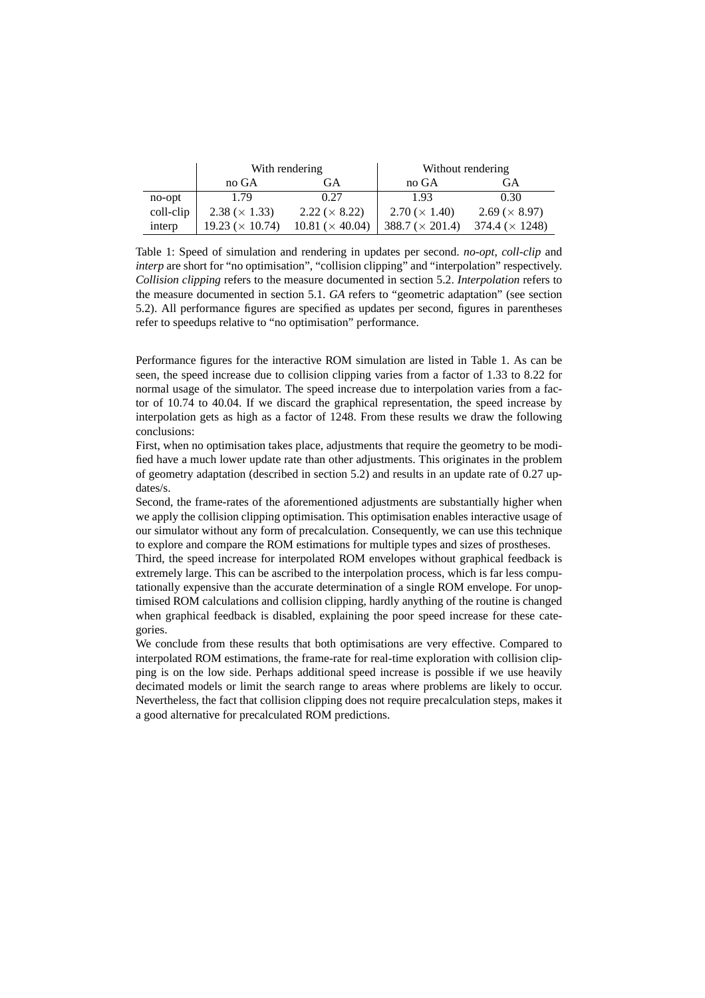|           | With rendering       |                      | Without rendering    |                     |
|-----------|----------------------|----------------------|----------------------|---------------------|
|           | no GA                | GA                   | no GA                | GA                  |
| no-opt    | 1.79                 | 0.27                 | 1.93                 | 0.30                |
| coll-clip | $2.38 \times 1.33$   | $2.22 \times 8.22$   | $2.70 \times 1.40$   | $2.69 \times 8.97$  |
| interp    | $19.23 \times 10.74$ | $10.81 \times 40.04$ | $388.7 \times 201.4$ | $374.4 \times 1248$ |

Table 1: Speed of simulation and rendering in updates per second. *no-opt*, *coll-clip* and *interp* are short for "no optimisation", "collision clipping" and "interpolation" respectively. *Collision clipping* refers to the measure documented in section 5.2. *Interpolation* refers to the measure documented in section 5.1. *GA* refers to "geometric adaptation" (see section 5.2). All performance figures are specified as updates per second, figures in parentheses refer to speedups relative to "no optimisation" performance.

Performance figures for the interactive ROM simulation are listed in Table 1. As can be seen, the speed increase due to collision clipping varies from a factor of 1.33 to 8.22 for normal usage of the simulator. The speed increase due to interpolation varies from a factor of 10.74 to 40.04. If we discard the graphical representation, the speed increase by interpolation gets as high as a factor of 1248. From these results we draw the following conclusions:

First, when no optimisation takes place, adjustments that require the geometry to be modified have a much lower update rate than other adjustments. This originates in the problem of geometry adaptation (described in section 5.2) and results in an update rate of 0.27 updates/s.

Second, the frame-rates of the aforementioned adjustments are substantially higher when we apply the collision clipping optimisation. This optimisation enables interactive usage of our simulator without any form of precalculation. Consequently, we can use this technique to explore and compare the ROM estimations for multiple types and sizes of prostheses.

Third, the speed increase for interpolated ROM envelopes without graphical feedback is extremely large. This can be ascribed to the interpolation process, which is far less computationally expensive than the accurate determination of a single ROM envelope. For unoptimised ROM calculations and collision clipping, hardly anything of the routine is changed when graphical feedback is disabled, explaining the poor speed increase for these categories.

We conclude from these results that both optimisations are very effective. Compared to interpolated ROM estimations, the frame-rate for real-time exploration with collision clipping is on the low side. Perhaps additional speed increase is possible if we use heavily decimated models or limit the search range to areas where problems are likely to occur. Nevertheless, the fact that collision clipping does not require precalculation steps, makes it a good alternative for precalculated ROM predictions.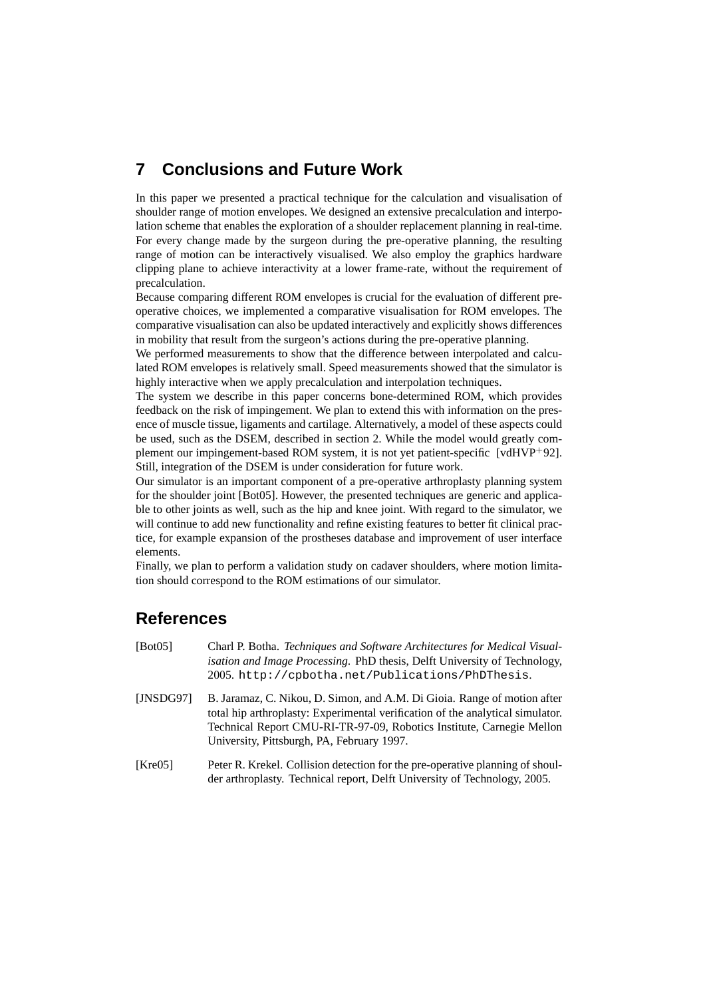## **7 Conclusions and Future Work**

In this paper we presented a practical technique for the calculation and visualisation of shoulder range of motion envelopes. We designed an extensive precalculation and interpolation scheme that enables the exploration of a shoulder replacement planning in real-time. For every change made by the surgeon during the pre-operative planning, the resulting range of motion can be interactively visualised. We also employ the graphics hardware clipping plane to achieve interactivity at a lower frame-rate, without the requirement of precalculation.

Because comparing different ROM envelopes is crucial for the evaluation of different preoperative choices, we implemented a comparative visualisation for ROM envelopes. The comparative visualisation can also be updated interactively and explicitly shows differences in mobility that result from the surgeon's actions during the pre-operative planning.

We performed measurements to show that the difference between interpolated and calculated ROM envelopes is relatively small. Speed measurements showed that the simulator is highly interactive when we apply precalculation and interpolation techniques.

The system we describe in this paper concerns bone-determined ROM, which provides feedback on the risk of impingement. We plan to extend this with information on the presence of muscle tissue, ligaments and cartilage. Alternatively, a model of these aspects could be used, such as the DSEM, described in section 2. While the model would greatly complement our impingement-based ROM system, it is not yet patient-specific [vdHVP+92]. Still, integration of the DSEM is under consideration for future work.

Our simulator is an important component of a pre-operative arthroplasty planning system for the shoulder joint [Bot05]. However, the presented techniques are generic and applicable to other joints as well, such as the hip and knee joint. With regard to the simulator, we will continue to add new functionality and refine existing features to better fit clinical practice, for example expansion of the prostheses database and improvement of user interface elements.

Finally, we plan to perform a validation study on cadaver shoulders, where motion limitation should correspond to the ROM estimations of our simulator.

#### **References**

- [Bot05] Charl P. Botha. *Techniques and Software Architectures for Medical Visualisation and Image Processing*. PhD thesis, Delft University of Technology, 2005. http://cpbotha.net/Publications/PhDThesis.
- [JNSDG97] B. Jaramaz, C. Nikou, D. Simon, and A.M. Di Gioia. Range of motion after total hip arthroplasty: Experimental verification of the analytical simulator. Technical Report CMU-RI-TR-97-09, Robotics Institute, Carnegie Mellon University, Pittsburgh, PA, February 1997.
- [Kre05] Peter R. Krekel. Collision detection for the pre-operative planning of shoulder arthroplasty. Technical report, Delft University of Technology, 2005.